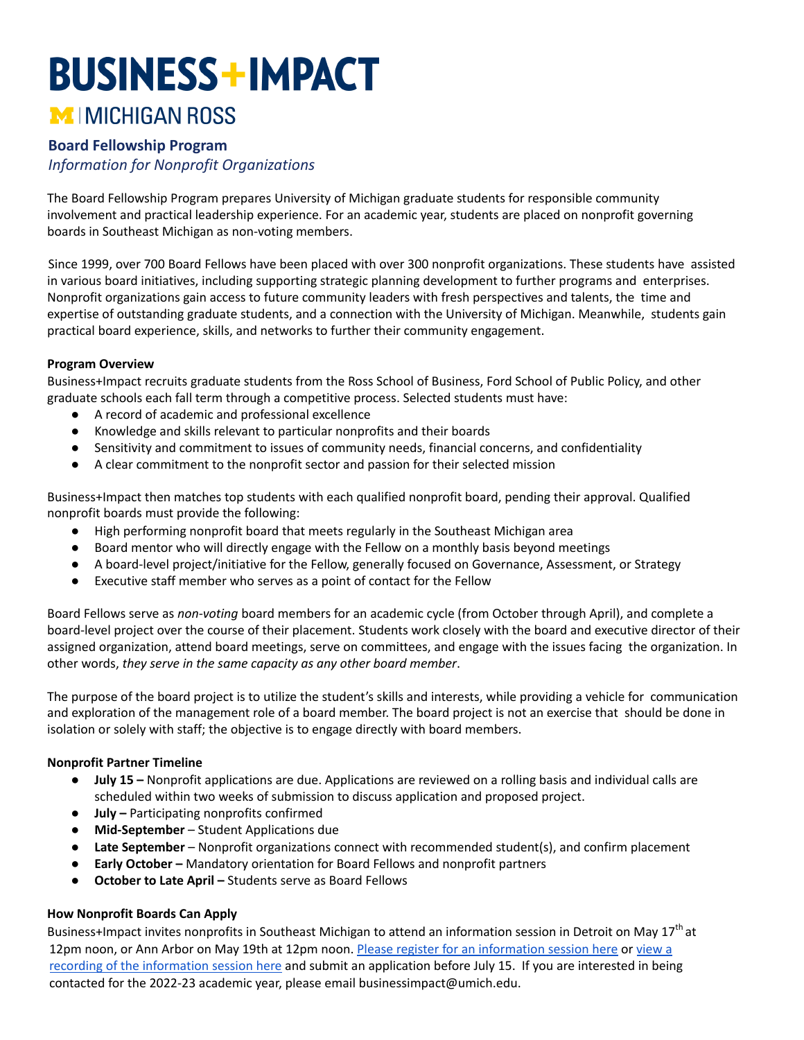# **BUSINESS+IMPACT** MIMICHIGAN ROSS

## **Board Fellowship Program**

*Information for Nonprofit Organizations*

The Board Fellowship Program prepares University of Michigan graduate students for responsible community involvement and practical leadership experience. For an academic year, students are placed on nonprofit governing boards in Southeast Michigan as non-voting members.

Since 1999, over 700 Board Fellows have been placed with over 300 nonprofit organizations. These students have assisted in various board initiatives, including supporting strategic planning development to further programs and enterprises. Nonprofit organizations gain access to future community leaders with fresh perspectives and talents, the time and expertise of outstanding graduate students, and a connection with the University of Michigan. Meanwhile, students gain practical board experience, skills, and networks to further their community engagement.

#### **Program Overview**

Business+Impact recruits graduate students from the Ross School of Business, Ford School of Public Policy, and other graduate schools each fall term through a competitive process. Selected students must have:

- A record of academic and professional excellence
- Knowledge and skills relevant to particular nonprofits and their boards
- Sensitivity and commitment to issues of community needs, financial concerns, and confidentiality
- A clear commitment to the nonprofit sector and passion for their selected mission

Business+Impact then matches top students with each qualified nonprofit board, pending their approval. Qualified nonprofit boards must provide the following:

- High performing nonprofit board that meets regularly in the Southeast Michigan area
- Board mentor who will directly engage with the Fellow on a monthly basis beyond meetings
- A board-level project/initiative for the Fellow, generally focused on Governance, Assessment, or Strategy
- Executive staff member who serves as a point of contact for the Fellow

Board Fellows serve as *non-voting* board members for an academic cycle (from October through April), and complete a board-level project over the course of their placement. Students work closely with the board and executive director of their assigned organization, attend board meetings, serve on committees, and engage with the issues facing the organization. In other words, *they serve in the same capacity as any other board member*.

The purpose of the board project is to utilize the student's skills and interests, while providing a vehicle for communication and exploration of the management role of a board member. The board project is not an exercise that should be done in isolation or solely with staff; the objective is to engage directly with board members.

#### **Nonprofit Partner Timeline**

- **July 15 –** Nonprofit applications are due. Applications are reviewed on a rolling basis and individual calls are scheduled within two weeks of submission to discuss application and proposed project.
- **July –** Participating nonprofits confirmed
- **Mid-September** Student Applications due
- **Late September** Nonprofit organizations connect with recommended student(s), and confirm placement
- **Early October –** Mandatory orientation for Board Fellows and nonprofit partners
- **October to Late April –** Students serve as Board Fellows

#### **How Nonprofit Boards Can Apply**

Business+Impact invites nonprofits in Southeast Michigan to attend an information session in Detroit on May 17<sup>th</sup> at 12pm noon, or Ann Arbor on May 19th at 12pm noon. Please register for an [information](https://docs.google.com/forms/d/e/1FAIpQLSejGxrIIAbu4N3mdDg5Pb2a7Pde_g5vVGOQnPSEceF6J4wmcQ/viewform?usp=sf_link) session here or [view](https://youtu.be/nyZYTfV-w7I) a recording of the [information](https://youtu.be/nyZYTfV-w7I) session here and submit an application before July 15. If you are interested in being contacted for the 2022-23 academic year, please email businessimpact@umich.edu.